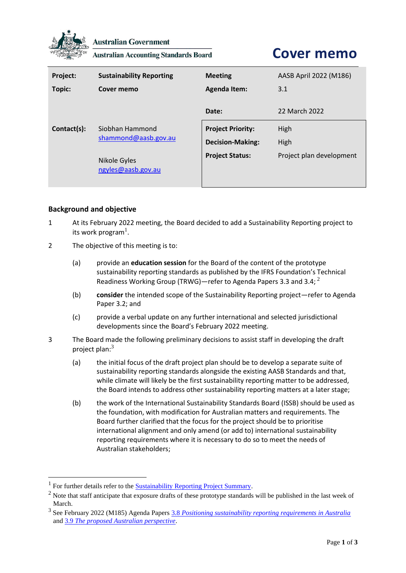

**Australian Government** 

**Australian Accounting Standards Board** 

# **Cover memo**

| Project:    | <b>Sustainability Reporting</b>         | <b>Meeting</b>                                      | AASB April 2022 (M186)   |
|-------------|-----------------------------------------|-----------------------------------------------------|--------------------------|
| Topic:      | Cover memo                              | <b>Agenda Item:</b>                                 | 3.1                      |
|             |                                         | Date:                                               | 22 March 2022            |
| Contact(s): | Siobhan Hammond<br>shammond@aasb.gov.au | <b>Project Priority:</b><br><b>Decision-Making:</b> | High<br>High             |
|             | Nikole Gyles<br>ngyles@aasb.gov.au      | <b>Project Status:</b>                              | Project plan development |

## **Background and objective**

- 1 At its February 2022 meeting, the Board decided to add a Sustainability Reporting project to its work program<sup>1</sup>.
- 2 The objective of this meeting is to:
	- (a) provide an **education session** for the Board of the content of the prototype sustainability reporting standards as published by the IFRS Foundation's Technical Readiness Working Group (TRWG)—refer to Agenda Papers 3.3 and 3.4;  $^2$
	- (b) **consider** the intended scope of the Sustainability Reporting project—refer to Agenda Paper 3.2; and
	- (c) provide a verbal update on any further international and selected jurisdictional developments since the Board's February 2022 meeting.
- 3 The Board made the following preliminary decisions to assist staff in developing the draft project plan: $3$ 
	- (a) the initial focus of the draft project plan should be to develop a separate suite of sustainability reporting standards alongside the existing AASB Standards and that, while climate will likely be the first sustainability reporting matter to be addressed, the Board intends to address other sustainability reporting matters at a later stage;
	- (b) the work of the International Sustainability Standards Board (ISSB) should be used as the foundation, with modification for Australian matters and requirements. The Board further clarified that the focus for the project should be to prioritise international alignment and only amend (or add to) international sustainability reporting requirements where it is necessary to do so to meet the needs of Australian stakeholders;

<sup>&</sup>lt;sup>1</sup> For further details refer to the **Sustainability Reporting Project Summary**.

<sup>&</sup>lt;sup>2</sup> Note that staff anticipate that exposure drafts of these prototype standards will be published in the last week of March.

<sup>&</sup>lt;sup>3</sup> See February 2022 (M185) Agenda Papers <u>3.8 *[Positioning sustainability reporting requirements in Australia](https://www.aasb.gov.au/media/gsonkotz/3-8-0_sr_positioningsrinaust_m185_pp.pdf)*</u> and 3.9 *[The proposed Australian perspective](https://www.aasb.gov.au/media/kcnl1zic/3-9_sr_proposedaustperspective_m185_pp.pdf)*.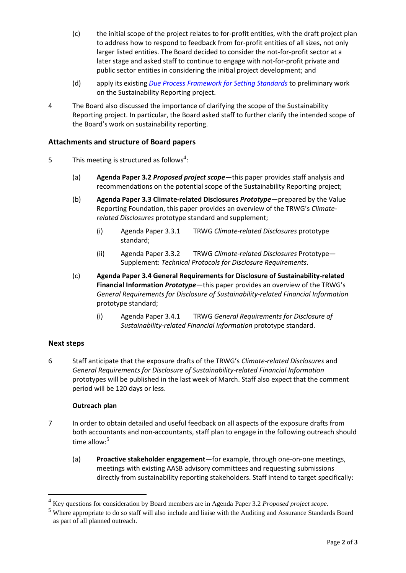- (c) the initial scope of the project relates to for-profit entities, with the draft project plan to address how to respond to feedback from for-profit entities of all sizes, not only larger listed entities. The Board decided to consider the not-for-profit sector at a later stage and asked staff to continue to engage with not-for-profit private and public sector entities in considering the initial project development; and
- (d) apply its existing *[Due Process Framework for Setting Standards](https://www.aasb.gov.au/admin/file/content102/c3/AASB_Due_Process_Framework_09-19.pdf)* to preliminary work on the Sustainability Reporting project.
- 4 The Board also discussed the importance of clarifying the scope of the Sustainability Reporting project. In particular, the Board asked staff to further clarify the intended scope of the Board's work on sustainability reporting.

## **Attachments and structure of Board papers**

- 5 This meeting is structured as follows<sup>4</sup>:
	- (a) **Agenda Paper 3.2** *Proposed project scope*—this paper provides staff analysis and recommendations on the potential scope of the Sustainability Reporting project;
	- (b) **Agenda Paper 3.3 Climate-related Disclosures** *Prototype*—prepared by the Value Reporting Foundation, this paper provides an overview of the TRWG's *Climaterelated Disclosures* prototype standard and supplement;
		- (i) Agenda Paper 3.3.1 TRWG *Climate-related Disclosures* prototype standard;
		- (ii) Agenda Paper 3.3.2 TRWG *Climate-related Disclosures* Prototype— Supplement: *Technical Protocols for Disclosure Requirements*.
	- (c) **Agenda Paper 3.4 General Requirements for Disclosure of Sustainability-related Financial Information** *Prototype*—this paper provides an overview of the TRWG's *General Requirements for Disclosure of Sustainability-related Financial Information* prototype standard;
		- (i) Agenda Paper 3.4.1 TRWG *General Requirements for Disclosure of Sustainability-related Financial Information* prototype standard.

## **Next steps**

6 Staff anticipate that the exposure drafts of the TRWG's *Climate-related Disclosures* and *General Requirements for Disclosure of Sustainability-related Financial Information* prototypes will be published in the last week of March. Staff also expect that the comment period will be 120 days or less.

## **Outreach plan**

- 7 In order to obtain detailed and useful feedback on all aspects of the exposure drafts from both accountants and non-accountants, staff plan to engage in the following outreach should time allow:<sup>5</sup>
	- (a) **Proactive stakeholder engagement**—for example, through one-on-one meetings, meetings with existing AASB advisory committees and requesting submissions directly from sustainability reporting stakeholders. Staff intend to target specifically:

<sup>4</sup> Key questions for consideration by Board members are in Agenda Paper 3.2 *Proposed project scope*.

<sup>5</sup> Where appropriate to do so staff will also include and liaise with the Auditing and Assurance Standards Board as part of all planned outreach.